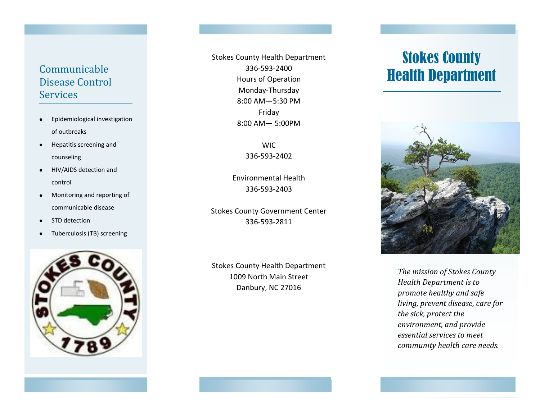# Disease Control **Services**

- Epidemiological investigation  $\bullet$ of outbreaks
- Hepatitis screening and  $\bullet$ counseling
- $\bullet$ HIV/AIDS detection and control
- Monitoring and reporting of  $\bullet$ communicable disease
- STD detection  $\bullet$
- Tuberculosis (TB) screening  $\bullet$



Communicable 336-593-2400<br>Disease Control Hours of Operation Health Department Stokes County Health Department 336-593-2400 Hours of Operation Monday-Thursday 8:00 AM—5:30 PM Friday 8:00 AM— 5:00PM

> WIC 336-593-2402

Environmental Health 336-593-2403

Stokes County Government Center 336-593-2811

Stokes County Health Department 1009 North Main Street Danbury, NC 27016

# Stokes County



*The mission of Stokes County Health Department is to promote healthy and safe living, prevent disease, care for the sick, protect the environment, and provide essential services to meet community health care needs.*